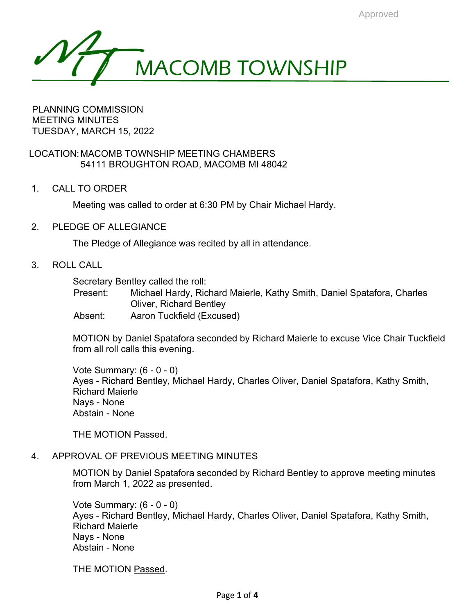

PLANNING COMMISSION MEETING MINUTES TUESDAY, MARCH 15, 2022

LOCATION:MACOMB TOWNSHIP MEETING CHAMBERS 54111 BROUGHTON ROAD, MACOMB MI 48042

1. CALL TO ORDER

Meeting was called to order at 6:30 PM by Chair Michael Hardy.

2. PLEDGE OF ALLEGIANCE

The Pledge of Allegiance was recited by all in attendance.

3. ROLL CALL

Secretary Bentley called the roll:

Present: Michael Hardy, Richard Maierle, Kathy Smith, Daniel Spatafora, Charles Oliver, Richard Bentley

Absent: Aaron Tuckfield (Excused)

MOTION by Daniel Spatafora seconded by Richard Maierle to excuse Vice Chair Tuckfield from all roll calls this evening.

Vote Summary: (6 - 0 - 0) Ayes - Richard Bentley, Michael Hardy, Charles Oliver, Daniel Spatafora, Kathy Smith, Richard Maierle Nays - None Abstain - None

THE MOTION Passed.

# 4. APPROVAL OF PREVIOUS MEETING MINUTES

MOTION by Daniel Spatafora seconded by Richard Bentley to approve meeting minutes from March 1, 2022 as presented.

Vote Summary: (6 - 0 - 0) Ayes - Richard Bentley, Michael Hardy, Charles Oliver, Daniel Spatafora, Kathy Smith, Richard Maierle Nays - None Abstain - None

THE MOTION Passed.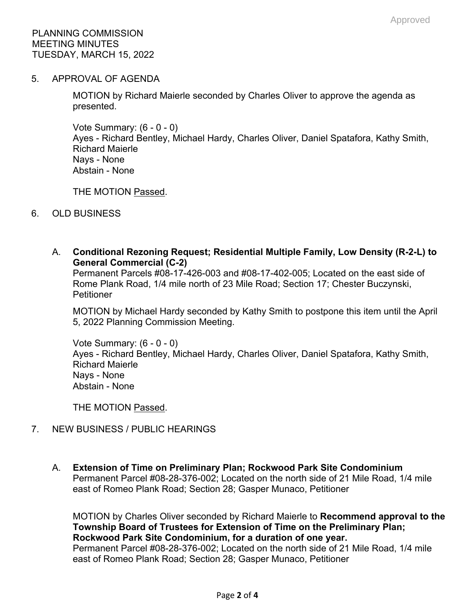5. APPROVAL OF AGENDA

MOTION by Richard Maierle seconded by Charles Oliver to approve the agenda as presented.

Vote Summary: (6 - 0 - 0) Ayes - Richard Bentley, Michael Hardy, Charles Oliver, Daniel Spatafora, Kathy Smith, Richard Maierle Nays - None Abstain - None

THE MOTION Passed.

- 6. OLD BUSINESS
	- A. **Conditional Rezoning Request; Residential Multiple Family, Low Density (R-2-L) to General Commercial (C-2)**

Permanent Parcels #08-17-426-003 and #08-17-402-005; Located on the east side of Rome Plank Road, 1/4 mile north of 23 Mile Road; Section 17; Chester Buczynski, **Petitioner** 

MOTION by Michael Hardy seconded by Kathy Smith to postpone this item until the April 5, 2022 Planning Commission Meeting.

Vote Summary: (6 - 0 - 0) Ayes - Richard Bentley, Michael Hardy, Charles Oliver, Daniel Spatafora, Kathy Smith, Richard Maierle Nays - None Abstain - None

THE MOTION Passed.

- 7. NEW BUSINESS / PUBLIC HEARINGS
	- A. **Extension of Time on Preliminary Plan; Rockwood Park Site Condominium** Permanent Parcel #08-28-376-002; Located on the north side of 21 Mile Road, 1/4 mile east of Romeo Plank Road; Section 28; Gasper Munaco, Petitioner

MOTION by Charles Oliver seconded by Richard Maierle to **Recommend approval to the Township Board of Trustees for Extension of Time on the Preliminary Plan; Rockwood Park Site Condominium, for a duration of one year.** Permanent Parcel #08-28-376-002; Located on the north side of 21 Mile Road, 1/4 mile east of Romeo Plank Road; Section 28; Gasper Munaco, Petitioner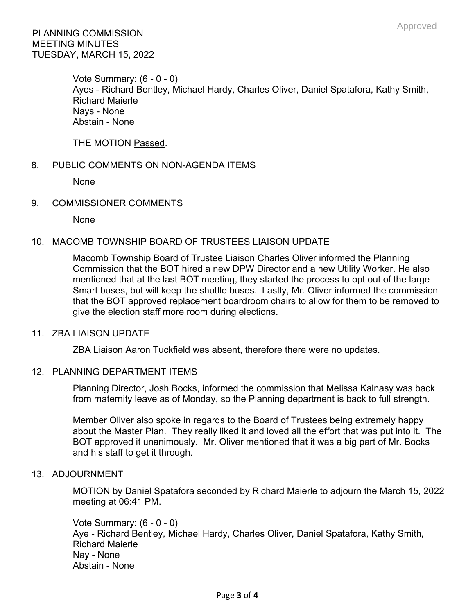Vote Summary: (6 - 0 - 0) Ayes - Richard Bentley, Michael Hardy, Charles Oliver, Daniel Spatafora, Kathy Smith, Richard Maierle Nays - None Abstain - None

THE MOTION Passed.

# 8. PUBLIC COMMENTS ON NON-AGENDA ITEMS

None

# 9. COMMISSIONER COMMENTS

None

# 10. MACOMB TOWNSHIP BOARD OF TRUSTEES LIAISON UPDATE

Macomb Township Board of Trustee Liaison Charles Oliver informed the Planning Commission that the BOT hired a new DPW Director and a new Utility Worker. He also mentioned that at the last BOT meeting, they started the process to opt out of the large Smart buses, but will keep the shuttle buses. Lastly, Mr. Oliver informed the commission that the BOT approved replacement boardroom chairs to allow for them to be removed to give the election staff more room during elections.

# 11. ZBA LIAISON UPDATE

ZBA Liaison Aaron Tuckfield was absent, therefore there were no updates.

# 12. PLANNING DEPARTMENT ITEMS

Planning Director, Josh Bocks, informed the commission that Melissa Kalnasy was back from maternity leave as of Monday, so the Planning department is back to full strength.

Member Oliver also spoke in regards to the Board of Trustees being extremely happy about the Master Plan. They really liked it and loved all the effort that was put into it. The BOT approved it unanimously. Mr. Oliver mentioned that it was a big part of Mr. Bocks and his staff to get it through.

# 13. ADJOURNMENT

MOTION by Daniel Spatafora seconded by Richard Maierle to adjourn the March 15, 2022 meeting at 06:41 PM.

Vote Summary: (6 - 0 - 0) Aye - Richard Bentley, Michael Hardy, Charles Oliver, Daniel Spatafora, Kathy Smith, Richard Maierle Nay - None Abstain - None